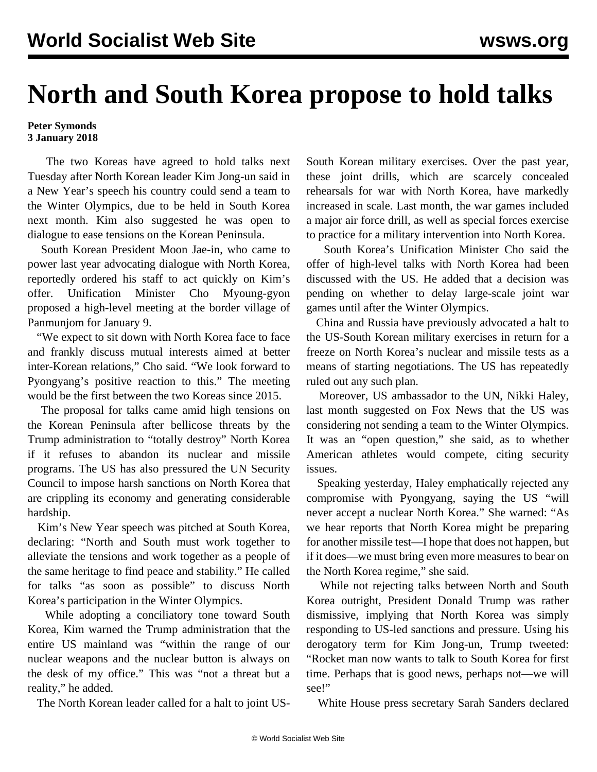## **North and South Korea propose to hold talks**

## **Peter Symonds 3 January 2018**

 The two Koreas have agreed to hold talks next Tuesday after North Korean leader Kim Jong-un said in a New Year's speech his country could send a team to the Winter Olympics, due to be held in South Korea next month. Kim also suggested he was open to dialogue to ease tensions on the Korean Peninsula.

 South Korean President Moon Jae-in, who came to power last year advocating dialogue with North Korea, reportedly ordered his staff to act quickly on Kim's offer. Unification Minister Cho Myoung-gyon proposed a high-level meeting at the border village of Panmunjom for January 9.

 "We expect to sit down with North Korea face to face and frankly discuss mutual interests aimed at better inter-Korean relations," Cho said. "We look forward to Pyongyang's positive reaction to this." The meeting would be the first between the two Koreas since 2015.

 The proposal for talks came amid high tensions on the Korean Peninsula after bellicose threats by the Trump administration to "totally destroy" North Korea if it refuses to abandon its nuclear and missile programs. The US has also pressured the UN Security Council to impose harsh sanctions on North Korea that are crippling its economy and generating considerable hardship.

 Kim's New Year speech was pitched at South Korea, declaring: "North and South must work together to alleviate the tensions and work together as a people of the same heritage to find peace and stability." He called for talks "as soon as possible" to discuss North Korea's participation in the Winter Olympics.

 While adopting a conciliatory tone toward South Korea, Kim warned the Trump administration that the entire US mainland was "within the range of our nuclear weapons and the nuclear button is always on the desk of my office." This was "not a threat but a reality," he added.

The North Korean leader called for a halt to joint US-

South Korean military exercises. Over the past year, these joint drills, which are scarcely concealed rehearsals for war with North Korea, have markedly increased in scale. Last month, the war games included a major air force drill, as well as special forces exercise to practice for a military intervention into North Korea.

 South Korea's Unification Minister Cho said the offer of high-level talks with North Korea had been discussed with the US. He added that a decision was pending on whether to delay large-scale joint war games until after the Winter Olympics.

 China and Russia have previously advocated a halt to the US-South Korean military exercises in return for a freeze on North Korea's nuclear and missile tests as a means of starting negotiations. The US has repeatedly ruled out any such plan.

 Moreover, US ambassador to the UN, Nikki Haley, last month suggested on Fox News that the US was considering not sending a team to the Winter Olympics. It was an "open question," she said, as to whether American athletes would compete, citing security issues.

 Speaking yesterday, Haley emphatically rejected any compromise with Pyongyang, saying the US "will never accept a nuclear North Korea." She warned: "As we hear reports that North Korea might be preparing for another missile test—I hope that does not happen, but if it does—we must bring even more measures to bear on the North Korea regime," she said.

 While not rejecting talks between North and South Korea outright, President Donald Trump was rather dismissive, implying that North Korea was simply responding to US-led sanctions and pressure. Using his derogatory term for Kim Jong-un, Trump tweeted: "Rocket man now wants to talk to South Korea for first time. Perhaps that is good news, perhaps not—we will see!"

White House press secretary Sarah Sanders declared